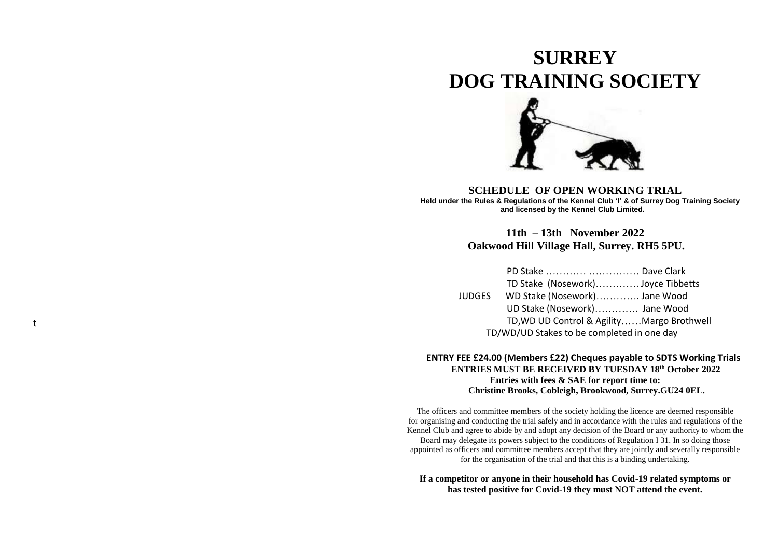# **SURREY DOG TRAINING SOCIETY**



**SCHEDULE OF OPEN WORKING TRIAL Held under the Rules & Regulations of the Kennel Club 'I' & of Surrey Dog Training Society and licensed by the Kennel Club Limited.** 

# **11th – 13th November 20 2 2 Oakwood Hill Village Hall, Surrey. RH5 5PU.**

| PD Stake  Dave Clark                       |  |
|--------------------------------------------|--|
| TD Stake (Nosework) Joyce Tibbetts         |  |
| JUDGES WD Stake (Nosework) Jane Wood       |  |
| UD Stake (Nosework) Jane Wood              |  |
| TD, WD UD Control & AgilityMargo Brothwell |  |
| TD/WD/UD Stakes to be completed in one day |  |

t

# **ENTRY FEE £24.00 (Members £22) Cheques payable to SDTS Working Trials ENT RIES MUST BE RECEIVED BY TUESDAY 18th October 20 2 2 Entries with fees & SAE for report time to: Christine Brooks, Cobleigh, Brookwood, Surrey.GU24 0EL.**

The officers and committee members of the society holding the licence are deemed responsible for organising and conducting the trial safely and in accordance with the rules and regulations of the Kennel Club and agree to abide by and adopt any decision of the Board or any authority to whom the Board may delegate its power s subject to the conditions of Regulation I 31. In so doing those appointed as officers and committee members accept that they are jointly and severally responsible for the organisation of the trial and that this is a binding undertaking.

#### **If a competitor or anyone in their household has Covid -19 related symptoms or has tested positive for Covid -19 they must NOT attend the event.**